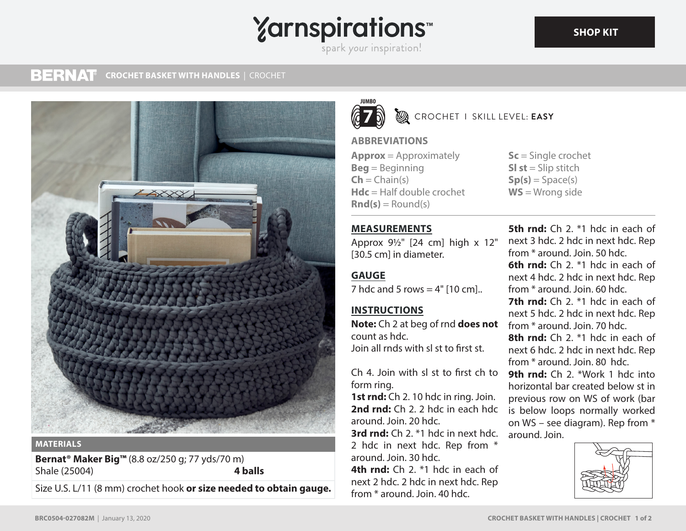## **Yarnspirations** spark your inspiration!

#### **BERNAT CROCHET BASKET WITH HANDLES** | CROCHET



#### **MATERIALS**

**Bernat® Maker Big™** (8.8 oz/250 g; 77 yds/70 m) Shale (25004) **4 balls**

Size U.S. L/11 (8 mm) crochet hook **or size needed to obtain gauge.**



#### **B** CROCHET I SKILL LEVEL: **EASY**

#### **ABBREVIATIONS**

**Approx** = Approximately **Beg** = Beginning  $\mathsf{Ch} = \mathsf{Chain}(s)$ **Hdc** = Half double crochet  $\text{Rnd}(s) =$  Round(s)

#### **MEASUREMENTS**

Approx 9½" [24 cm] high x 12" [30.5 cm] in diameter.

### **GAUGE**

7 hdc and 5 rows  $= 4"$  [10 cm]..

## **INSTRUCTIONS**

**Note:** Ch 2 at beg of rnd **does not** count as hdc. Join all rnds with sl st to first st.

Ch 4. Join with sl st to first ch to form ring.

**1st rnd:** Ch 2. 10 hdc in ring. Join. **2nd rnd:** Ch 2. 2 hdc in each hdc around. Join. 20 hdc.

**3rd rnd:** Ch 2. \*1 hdc in next hdc. 2 hdc in next hdc. Rep from \* around. Join. 30 hdc.

**4th rnd:** Ch 2. \*1 hdc in each of next 2 hdc. 2 hdc in next hdc. Rep from \* around. Join. 40 hdc.

**Sc** = Single crochet **SI st** = Slip stitch  $Sp(s) = Space(s)$ **WS** = Wrong side

**5th rnd:** Ch 2. <sup>\*1</sup> hdc in each of next 3 hdc. 2 hdc in next hdc. Rep from \* around. Join. 50 hdc. **6th rnd:** Ch 2. \*1 hdc in each of next 4 hdc. 2 hdc in next hdc. Rep from \* around. Join. 60 hdc. **7th rnd:** Ch 2. \*1 hdc in each of next 5 hdc. 2 hdc in next hdc. Rep from \* around. Join. 70 hdc. **8th rnd:** Ch 2. \*1 hdc in each of next 6 hdc. 2 hdc in next hdc. Rep from \* around. Join. 80 hdc. **9th rnd:** Ch 2. \*Work 1 hdc into horizontal bar created below st in previous row on WS of work (bar is below loops normally worked on WS – see diagram). Rep from \* around. Join.